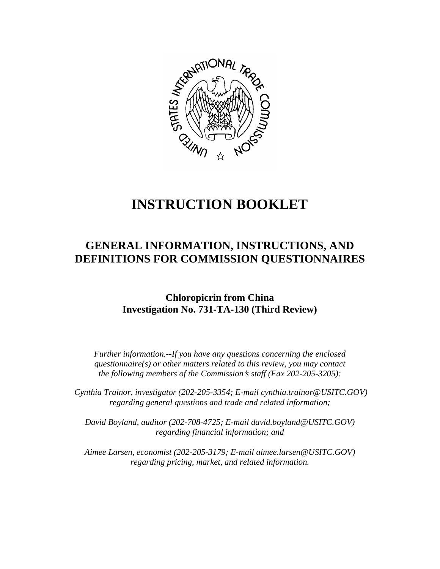

# **INSTRUCTION BOOKLET**

# **GENERAL INFORMATION, INSTRUCTIONS, AND DEFINITIONS FOR COMMISSION QUESTIONNAIRES**

# **Chloropicrin from China Investigation No. 731-TA-130 (Third Review)**

*Further information.--If you have any questions concerning the enclosed questionnaire(s) or other matters related to this review, you may contact the following members of the Commission's staff (Fax 202-205-3205):* 

 *Cynthia Trainor, investigator (202-205-3354; E-mail cynthia.trainor@USITC.GOV) regarding general questions and trade and related information;* 

 *David Boyland, auditor (202-708-4725; E-mail david.boyland@USITC.GOV) regarding financial information; and* 

 *Aimee Larsen, economist (202-205-3179; E-mail aimee.larsen@USITC.GOV) regarding pricing, market, and related information.*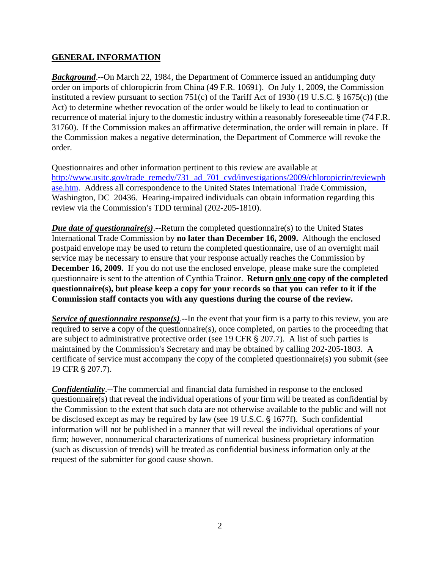# **GENERAL INFORMATION**

*Background*.--On March 22, 1984, the Department of Commerce issued an antidumping duty order on imports of chloropicrin from China (49 F.R. 10691). On July 1, 2009, the Commission instituted a review pursuant to section 751(c) of the Tariff Act of 1930 (19 U.S.C. § 1675(c)) (the Act) to determine whether revocation of the order would be likely to lead to continuation or recurrence of material injury to the domestic industry within a reasonably foreseeable time (74 F.R. 31760). If the Commission makes an affirmative determination, the order will remain in place. If the Commission makes a negative determination, the Department of Commerce will revoke the order.

Questionnaires and other information pertinent to this review are available at http://www.usitc.gov/trade\_remedy/731\_ad\_701\_cvd/investigations/2009/chloropicrin/reviewph ase.htm. Address all correspondence to the United States International Trade Commission, Washington, DC 20436. Hearing-impaired individuals can obtain information regarding this review via the Commission's TDD terminal (202-205-1810).

*Due date of questionnaire(s)*.--Return the completed questionnaire(s) to the United States International Trade Commission by **no later than December 16, 2009.** Although the enclosed postpaid envelope may be used to return the completed questionnaire, use of an overnight mail service may be necessary to ensure that your response actually reaches the Commission by **December 16, 2009.** If you do not use the enclosed envelope, please make sure the completed questionnaire is sent to the attention of Cynthia Trainor. **Return only one copy of the completed questionnaire(s), but please keep a copy for your records so that you can refer to it if the Commission staff contacts you with any questions during the course of the review.**

*Service of questionnaire response(s)*.--In the event that your firm is a party to this review, you are required to serve a copy of the questionnaire(s), once completed, on parties to the proceeding that are subject to administrative protective order (see 19 CFR  $\S 207.7$ ). A list of such parties is maintained by the Commission's Secretary and may be obtained by calling 202-205-1803. A certificate of service must accompany the copy of the completed questionnaire(s) you submit (see 19 CFR § 207.7).

*Confidentiality*.--The commercial and financial data furnished in response to the enclosed questionnaire(s) that reveal the individual operations of your firm will be treated as confidential by the Commission to the extent that such data are not otherwise available to the public and will not be disclosed except as may be required by law (see 19 U.S.C. § 1677f). Such confidential information will not be published in a manner that will reveal the individual operations of your firm; however, nonnumerical characterizations of numerical business proprietary information (such as discussion of trends) will be treated as confidential business information only at the request of the submitter for good cause shown.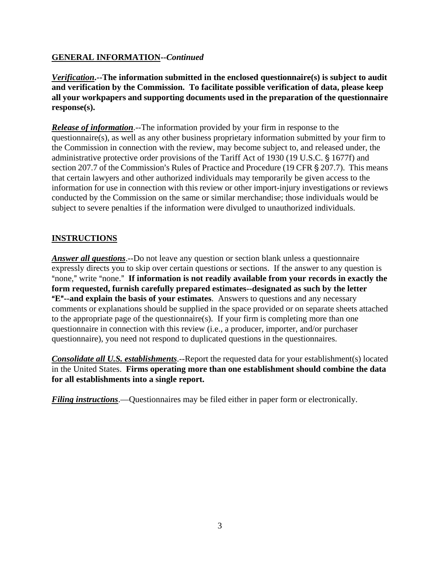# **GENERAL INFORMATION--***Continued*

*Verification***.--The information submitted in the enclosed questionnaire(s) is subject to audit and verification by the Commission. To facilitate possible verification of data, please keep all your workpapers and supporting documents used in the preparation of the questionnaire response(s).**

*Release of information*.--The information provided by your firm in response to the questionnaire(s), as well as any other business proprietary information submitted by your firm to the Commission in connection with the review, may become subject to, and released under, the administrative protective order provisions of the Tariff Act of 1930 (19 U.S.C. § 1677f) and section 207.7 of the Commission's Rules of Practice and Procedure (19 CFR  $\S$  207.7). This means that certain lawyers and other authorized individuals may temporarily be given access to the information for use in connection with this review or other import-injury investigations or reviews conducted by the Commission on the same or similar merchandise; those individuals would be subject to severe penalties if the information were divulged to unauthorized individuals.

# **INSTRUCTIONS**

*Answer all questions*.--Do not leave any question or section blank unless a questionnaire expressly directs you to skip over certain questions or sections. If the answer to any question is "none," write "none." If information is not readily available from your records in exactly the **form requested, furnish carefully prepared estimates--designated as such by the letter E<sup>"</sup>--and explain the basis of your estimates**. Answers to questions and any necessary comments or explanations should be supplied in the space provided or on separate sheets attached to the appropriate page of the questionnaire(s). If your firm is completing more than one questionnaire in connection with this review (i.e., a producer, importer, and/or purchaser questionnaire), you need not respond to duplicated questions in the questionnaires.

*Consolidate all U.S. establishments.*--Report the requested data for your establishment(s) located in the United States. **Firms operating more than one establishment should combine the data for all establishments into a single report.**

*Filing instructions*.—Questionnaires may be filed either in paper form or electronically.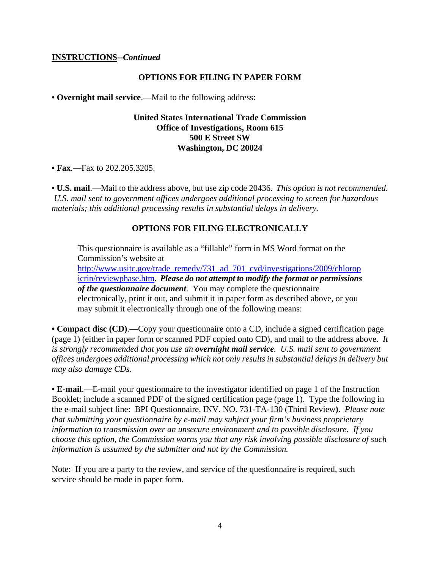#### **INSTRUCTIONS--***Continued*

#### **OPTIONS FOR FILING IN PAPER FORM**

**• Overnight mail service**.—Mail to the following address:

#### **United States International Trade Commission Office of Investigations, Room 615 500 E Street SW Washington, DC 20024**

**• Fax**.—Fax to 202.205.3205.

**• U.S. mail**.—Mail to the address above, but use zip code 20436. *This option is not recommended. U.S. mail sent to government offices undergoes additional processing to screen for hazardous materials; this additional processing results in substantial delays in delivery.* 

#### **OPTIONS FOR FILING ELECTRONICALLY**

This questionnaire is available as a "fillable" form in MS Word format on the Commission's website at

http://www.usitc.gov/trade\_remedy/731\_ad\_701\_cvd/investigations/2009/chlorop icrin/reviewphase.htm. *Please do not attempt to modify the format or permissions of the questionnaire document*. You may complete the questionnaire electronically, print it out, and submit it in paper form as described above, or you may submit it electronically through one of the following means:

**• Compact disc (CD)**.—Copy your questionnaire onto a CD, include a signed certification page (page 1) (either in paper form or scanned PDF copied onto CD), and mail to the address above. *It is strongly recommended that you use an overnight mail service. U.S. mail sent to government offices undergoes additional processing which not only results in substantial delays in delivery but may also damage CDs.* 

**• E-mail**.—E-mail your questionnaire to the investigator identified on page 1 of the Instruction Booklet; include a scanned PDF of the signed certification page (page 1). Type the following in the e-mail subject line: BPI Questionnaire, INV. NO. 731-TA-130 (Third Review**)**. *Please note that submitting your questionnaire by e-mail may subject your firm's business proprietary information to transmission over an unsecure environment and to possible disclosure. If you choose this option, the Commission warns you that any risk involving possible disclosure of such information is assumed by the submitter and not by the Commission.* 

Note: If you are a party to the review, and service of the questionnaire is required, such service should be made in paper form.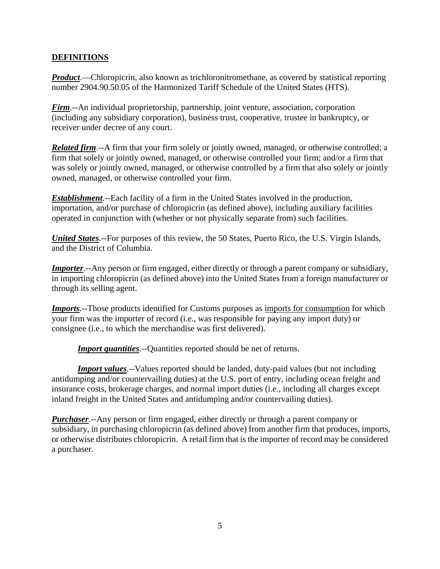# **DEFINITIONS**

*Product*.—Chloropicrin, also known as trichloronitromethane, as covered by statistical reporting number 2904.90.50.05 of the Harmonized Tariff Schedule of the United States (HTS).

*Firm*.--An individual proprietorship, partnership, joint venture, association, corporation (including any subsidiary corporation), business trust, cooperative, trustee in bankruptcy, or receiver under decree of any court.

*Related firm*.--A firm that your firm solely or jointly owned, managed, or otherwise controlled; a firm that solely or jointly owned, managed, or otherwise controlled your firm; and/or a firm that was solely or jointly owned, managed, or otherwise controlled by a firm that also solely or jointly owned, managed, or otherwise controlled your firm.

*Establishment*.--Each facility of a firm in the United States involved in the production, importation, and/or purchase of chloropicrin (as defined above), including auxiliary facilities operated in conjunction with (whether or not physically separate from) such facilities.

*United States*.--For purposes of this review, the 50 States, Puerto Rico, the U.S. Virgin Islands, and the District of Columbia.

*Importer*.--Any person or firm engaged, either directly or through a parent company or subsidiary, in importing chloropicrin (as defined above) into the United States from a foreign manufacturer or through its selling agent.

*Imports*.--Those products identified for Customs purposes as imports for consumption for which your firm was the importer of record (i.e., was responsible for paying any import duty) or consignee (i.e., to which the merchandise was first delivered).

*Import quantities*.--Quantities reported should be net of returns.

*Import values*.--Values reported should be landed, duty-paid values (but not including antidumping and/or countervailing duties) at the U.S. port of entry, including ocean freight and insurance costs, brokerage charges, and normal import duties (i.e., including all charges except inland freight in the United States and antidumping and/or countervailing duties).

*Purchaser*.--Any person or firm engaged, either directly or through a parent company or subsidiary, in purchasing chloropicrin (as defined above) from another firm that produces, imports, or otherwise distributes chloropicrin. A retail firm that is the importer of record may be considered a purchaser.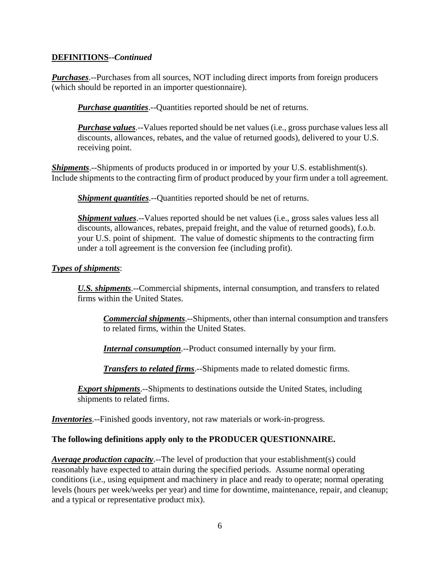# **DEFINITIONS--***Continued*

*Purchases*.--Purchases from all sources, NOT including direct imports from foreign producers (which should be reported in an importer questionnaire).

*Purchase quantities*.--Quantities reported should be net of returns.

*Purchase values*.--Values reported should be net values (i.e., gross purchase values less all discounts, allowances, rebates, and the value of returned goods), delivered to your U.S. receiving point.

*Shipments*.--Shipments of products produced in or imported by your U.S. establishment(s). Include shipments to the contracting firm of product produced by your firm under a toll agreement.

*Shipment quantities*.--Quantities reported should be net of returns.

*Shipment values*.--Values reported should be net values (*i.e.*, gross sales values less all discounts, allowances, rebates, prepaid freight, and the value of returned goods), f.o.b. your U.S. point of shipment. The value of domestic shipments to the contracting firm under a toll agreement is the conversion fee (including profit).

#### *Types of shipments*:

*U.S. shipments*.--Commercial shipments, internal consumption, and transfers to related firms within the United States.

*Commercial shipments*.--Shipments, other than internal consumption and transfers to related firms, within the United States.

*Internal consumption*.--Product consumed internally by your firm.

*Transfers to related firms*.--Shipments made to related domestic firms.

*Export shipments*.--Shipments to destinations outside the United States, including shipments to related firms.

*Inventories*.--Finished goods inventory, not raw materials or work-in-progress.

# **The following definitions apply only to the PRODUCER QUESTIONNAIRE.**

*Average production capacity*.--The level of production that your establishment(s) could reasonably have expected to attain during the specified periods. Assume normal operating conditions (i.e., using equipment and machinery in place and ready to operate; normal operating levels (hours per week/weeks per year) and time for downtime, maintenance, repair, and cleanup; and a typical or representative product mix).